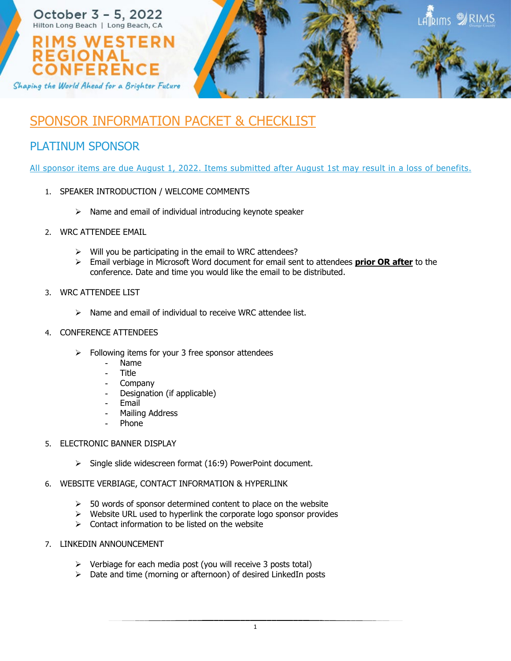

# SPONSOR INFORMATION PACKET & CHECKLIST

## PLATINUM SPONSOR

All sponsor items are due August 1, 2022. Items submitted after August 1st may result in a loss of benefits.

- 1. SPEAKER INTRODUCTION / WELCOME COMMENTS
	- $\triangleright$  Name and email of individual introducing keynote speaker
- 2. WRC ATTENDEE EMAIL
	- $\triangleright$  Will you be participating in the email to WRC attendees?
	- Email verbiage in Microsoft Word document for email sent to attendees **prior OR after** to the conference. Date and time you would like the email to be distributed.

## 3. WRC ATTENDEE LIST

 $\triangleright$  Name and email of individual to receive WRC attendee list.

## 4. CONFERENCE ATTENDEES

- $\triangleright$  Following items for your 3 free sponsor attendees
	- Name
	- Title
	- **Company**
	- Designation (if applicable)
	- **Email**
	- Mailing Address
	- **Phone**
- 5. ELECTRONIC BANNER DISPLAY
	- $\triangleright$  Single slide widescreen format (16:9) PowerPoint document.

## 6. WEBSITE VERBIAGE, CONTACT INFORMATION & HYPERLINK

- $>$  50 words of sponsor determined content to place on the website
- $\triangleright$  Website URL used to hyperlink the corporate logo sponsor provides
- $\triangleright$  Contact information to be listed on the website
- 7. LINKEDIN ANNOUNCEMENT
	- $\triangleright$  Verbiage for each media post (you will receive 3 posts total)
	- $\triangleright$  Date and time (morning or afternoon) of desired LinkedIn posts